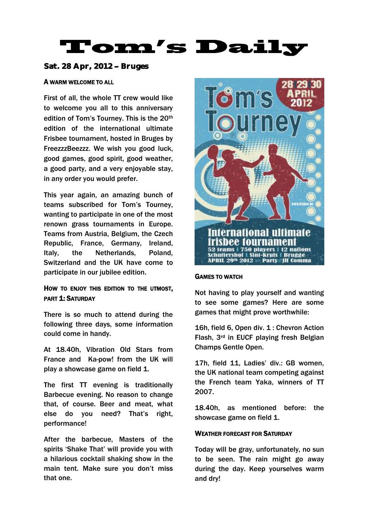# Tom's Daily

## Sat. 28 Apr,  $2012 -$  Bruges

## A WARM WELCOME TO ALL

First of all, the whole TT crew would like to welcome you all to this anniversary edition of Tom's Tourney. This is the 20<sup>th</sup> edition of the international ultimate Frisbee tournament, hosted in Bruges by FreezzzBeezzz. We wish you good luck, good games, good spirit, good weather, a good party, and a very enjoyable stay, in any order you would prefer.

This year again, an amazing bunch of teams subscribed for Tom's Tourney, wanting to participate in one of the most renown grass tournaments in Europe. Teams from Austria, Belgium, the Czech Republic, France, Germany, Ireland, Italy, the Netherlands, Poland, Switzerland and the UK have come to participate in our jubilee edition.

## HOW TO ENJOY THIS EDITION TO THE UTMOST, PART 1: SATURDAY

There is so much to attend during the following three days, some information could come in handy.

At 18.40h, Vibration Old Stars from France and Ka-pow! from the UK will play a showcase game on field 1.

The first TT evening is traditionally Barbecue evening. No reason to change that, of course. Beer and meat, what else do you need? That's right, performance!

After the barbecue, Masters of the spirits 'Shake That' will provide you with a hilarious cocktail shaking show in the main tent. Make sure you don't miss that one.



#### GAMES TO WATCH

Not having to play yourself and wanting to see some games? Here are some games that might prove worthwhile:

16h, field 6, Open div. 1 : Chevron Action Flash, 3rd in EUCF playing fresh Belgian Champs Gentle Open.

17h, field 11, Ladies' div.: GB women, the UK national team competing against the French team Yaka, winners of TT 2007.

18.40h, as mentioned before: the showcase game on field 1.

### WEATHER FORECAST FOR SATURDAY

Today will be gray, unfortunately, no sun to be seen. The rain might go away during the day. Keep yourselves warm and dry!